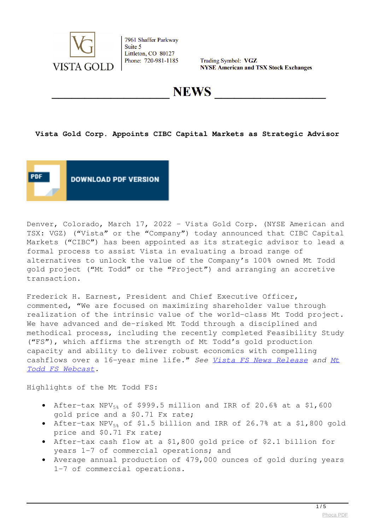

Trading Symbol: VGZ **NYSE American and TSX Stock Exchanges** 

**NEWS** 

# **Vista Gold Corp. Appoints CIBC Capital Markets as Strategic Advisor**



Denver, Colorado, March 17, 2022 – Vista Gold Corp. (NYSE American and TSX: VGZ) ("Vista" or the "Company") today announced that CIBC Capital Markets ("CIBC") has been appointed as its strategic advisor to lead a formal process to assist Vista in evaluating a broad range of alternatives to unlock the value of the Company's 100% owned Mt Todd gold project ("Mt Todd" or the "Project") and arranging an accretive transaction.

Frederick H. Earnest, President and Chief Executive Officer, commented, "We are focused on maximizing shareholder value through realization of the intrinsic value of the world-class Mt Todd project. We have advanced and de-risked Mt Todd through a disciplined and methodical process, including the recently completed Feasibility Study ("FS"), which affirms the strength of Mt Todd's gold production capacity and ability to deliver robust economics with compelling cashflows over a 16-year mine life." *See [Vista FS News Release](https://www.vistagold.com/news/news-2022/739-vista-gold-announces-feasibility-study-delivering-7-million-ounce-gold-reserve-underpinning-large-scale-production-at-high-operating-margins-over-a-16-year-mine-life) and [Mt](https://workdrive.zohoexternal.com/external/f1ec5d260fb22a5689c276078aa71d37f37701b997505f8e04a844892afbe5f8) [Todd FS Webcast.](https://workdrive.zohoexternal.com/external/f1ec5d260fb22a5689c276078aa71d37f37701b997505f8e04a844892afbe5f8)*

Highlights of the Mt Todd FS:

- After-tax NPV $_{58}$  of \$999.5 million and IRR of 20.6% at a \$1,600 gold price and a \$0.71 Fx rate;
- After-tax NPV $_{58}$  of \$1.5 billion and IRR of 26.7% at a \$1,800 gold price and \$0.71 Fx rate;
- After-tax cash flow at a \$1,800 gold price of \$2.1 billion for years 1-7 of commercial operations; and
- Average annual production of 479,000 ounces of gold during years 1-7 of commercial operations.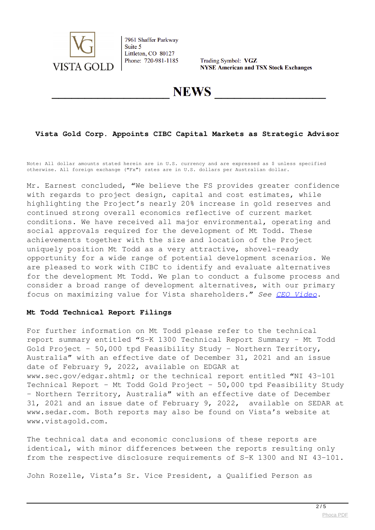

Trading Symbol: VGZ **NYSE American and TSX Stock Exchanges** 

**NEWS** 

# **Vista Gold Corp. Appoints CIBC Capital Markets as Strategic Advisor**

Note: All dollar amounts stated herein are in U.S. currency and are expressed as \$ unless specified otherwise. All foreign exchange ("Fx") rates are in U.S. dollars per Australian dollar.

Mr. Earnest concluded, "We believe the FS provides greater confidence with regards to project design, capital and cost estimates, while highlighting the Project's nearly 20% increase in gold reserves and continued strong overall economics reflective of current market conditions. We have received all major environmental, operating and social approvals required for the development of Mt Todd. These achievements together with the size and location of the Project uniquely position Mt Todd as a very attractive, shovel-ready opportunity for a wide range of potential development scenarios. We are pleased to work with CIBC to identify and evaluate alternatives for the development Mt Todd. We plan to conduct a fulsome process and consider a broad range of development alternatives, with our primary focus on maximizing value for Vista shareholders." *See [CEO Video](https://youtu.be/t4G1tejq00U)*.

#### **Mt Todd Technical Report Filings**

For further information on Mt Todd please refer to the technical report summary entitled "S-K 1300 Technical Report Summary – Mt Todd Gold Project – 50,000 tpd Feasibility Study – Northern Territory, Australia" with an effective date of December 31, 2021 and an issue date of February 9, 2022, available on EDGAR at www.sec.gov/edgar.shtml; or the technical report entitled "NI 43-101 Technical Report - Mt Todd Gold Project - 50,000 tpd Feasibility Study – Northern Territory, Australia" with an effective date of December 31, 2021 and an issue date of February 9, 2022, available on SEDAR at www.sedar.com. Both reports may also be found on Vista's website at www.vistagold.com.

The technical data and economic conclusions of these reports are identical, with minor differences between the reports resulting only from the respective disclosure requirements of S-K 1300 and NI 43-101.

John Rozelle, Vista's Sr. Vice President, a Qualified Person as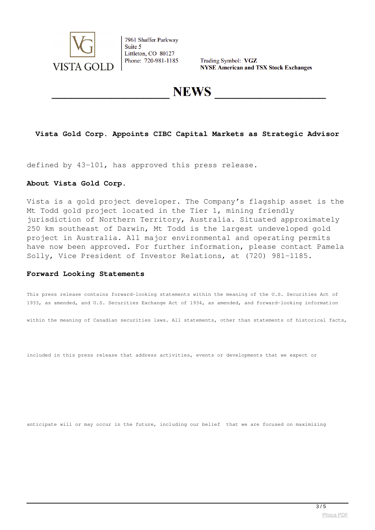

Trading Symbol: VGZ **NYSE American and TSX Stock Exchanges** 

**NEWS** 

# **Vista Gold Corp. Appoints CIBC Capital Markets as Strategic Advisor**

defined by 43-101, has approved this press release.

#### **About Vista Gold Corp.**

Vista is a gold project developer. The Company's flagship asset is the Mt Todd gold project located in the Tier 1, mining friendly jurisdiction of Northern Territory, Australia. Situated approximately 250 km southeast of Darwin, Mt Todd is the largest undeveloped gold project in Australia. All major environmental and operating permits have now been approved. For further information, please contact Pamela Solly, Vice President of Investor Relations, at (720) 981-1185.

#### **Forward Looking Statements**

This press release contains forward-looking statements within the meaning of the U.S. Securities Act of 1933, as amended, and U.S. Securities Exchange Act of 1934, as amended, and forward-looking information

within the meaning of Canadian securities laws. All statements, other than statements of historical facts,

included in this press release that address activities, events or developments that we expect or

anticipate will or may occur in the future, including our belief that we are focused on maximizing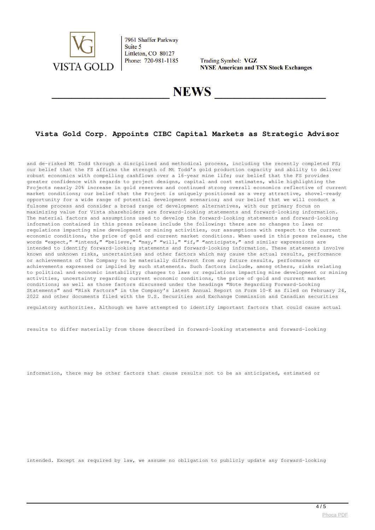

Trading Symbol: VGZ **NYSE American and TSX Stock Exchanges** 

# **NEWS**

# **Vista Gold Corp. Appoints CIBC Capital Markets as Strategic Advisor**

and de-risked Mt Todd through a disciplined and methodical process, including the recently completed FS; our belief that the FS affirms the strength of Mt Todd's gold production capacity and ability to deliver robust economics with compelling cashflows over a 16-year mine life; our belief that the FS provides greater confidence with regards to project designs, capital and cost estimates, while highlighting the Projects nearly 20% increase in gold reserves and continued strong overall economics reflective of current market conditions; our belief that the Project is uniquely positioned as a very attractive, shovel-ready opportunity for a wide range of potential development scenarios; and our belief that we will conduct a fulsome process and consider a broad range of development alternatives, with our primary focus on maximizing value for Vista shareholders are forward-looking statements and forward-looking information. The material factors and assumptions used to develop the forward-looking statements and forward-looking information contained in this press release include the following: there are no changes to laws or regulations impacting mine development or mining activities, our assumptions with respect to the current economic conditions, the price of gold and current market conditions. When used in this press release, the words "expect," "intend," "believe," "may," "will," "if," "anticipate," and similar expressions are intended to identify forward-looking statements and forward-looking information. These statements involve known and unknown risks, uncertainties and other factors which may cause the actual results, performance or achievements of the Company to be materially different from any future results, performance or achievements expressed or implied by such statements. Such factors include, among others, risks relating to political and economic instability; changes to laws or regulations impacting mine development or mining activities, uncertainty regarding current economic conditions, the price of gold and current market conditions; as well as those factors discussed under the headings "Note Regarding Forward-Looking Statements" and "Risk Factors" in the Company's latest Annual Report on Form 10-K as filed on February 24, 2022 and other documents filed with the U.S. Securities and Exchange Commission and Canadian securities

regulatory authorities. Although we have attempted to identify important factors that could cause actual

results to differ materially from those described in forward-looking statements and forward-looking

information, there may be other factors that cause results not to be as anticipated, estimated or

intended. Except as required by law, we assume no obligation to publicly update any forward-looking